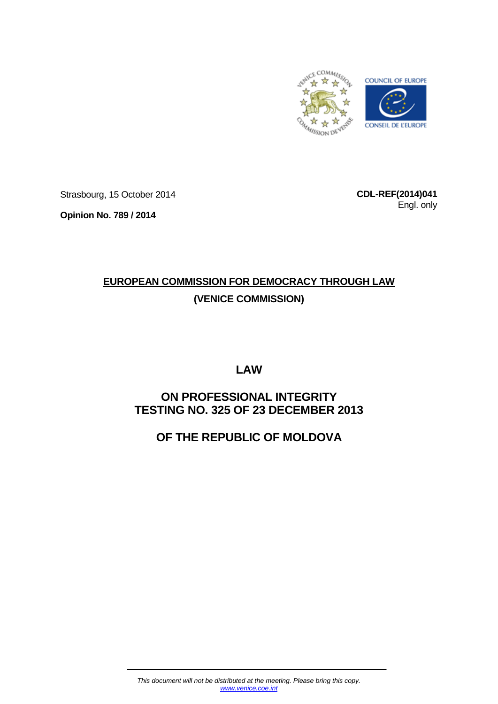

Strasbourg, 15 October 2014

**Opinion No. 789 / 2014**

**CDL-REF(2014)041** Engl. only

# **EUROPEAN COMMISSION FOR DEMOCRACY THROUGH LAW (VENICE COMMISSION)**

**LAW** 

# **ON PROFESSIONAL INTEGRITY TESTING NO. 325 OF 23 DECEMBER 2013**

# **OF THE REPUBLIC OF MOLDOVA**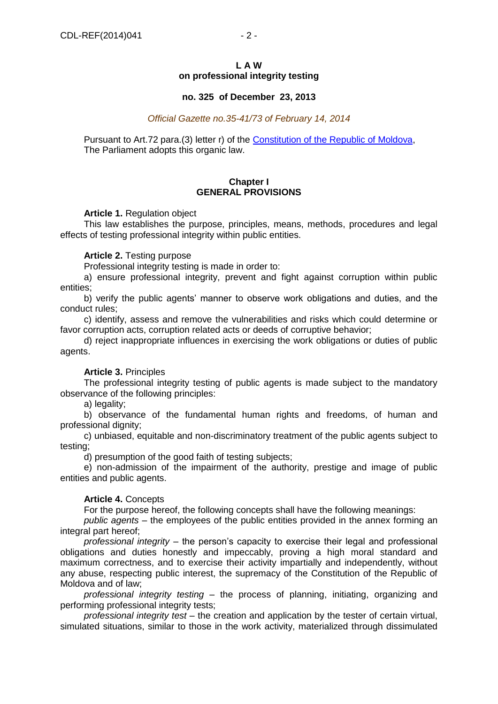#### **L A W on professional integrity testing**

# **no. 325 of December 23, 2013**

*Official Gazette no.35-41/73 of February 14, 2014*

Pursuant to Art.72 para.(3) letter r) of the Constitution of the Republic of Moldova. The Parliament adopts this organic law.

# **Chapter I GENERAL PROVISIONS**

# **Article 1.** Regulation object

This law establishes the purpose, principles, means, methods, procedures and legal effects of testing professional integrity within public entities.

# **Article 2.** Testing purpose

Professional integrity testing is made in order to:

a) ensure professional integrity, prevent and fight against corruption within public entities;

b) verify the public agents' manner to observe work obligations and duties, and the conduct rules;

c) identify, assess and remove the vulnerabilities and risks which could determine or favor corruption acts, corruption related acts or deeds of corruptive behavior;

d) reject inappropriate influences in exercising the work obligations or duties of public agents.

# **Article 3.** Principles

The professional integrity testing of public agents is made subject to the mandatory observance of the following principles:

a) legality;

b) observance of the fundamental human rights and freedoms, of human and professional dignity;

c) unbiased, equitable and non-discriminatory treatment of the public agents subject to testing;

d) presumption of the good faith of testing subjects;

e) non-admission of the impairment of the authority, prestige and image of public entities and public agents.

# **Article 4.** Concepts

For the purpose hereof, the following concepts shall have the following meanings:

*public agents* – the employees of the public entities provided in the annex forming an integral part hereof;

*professional integrity* – the person's capacity to exercise their legal and professional obligations and duties honestly and impeccably, proving a high moral standard and maximum correctness, and to exercise their activity impartially and independently, without any abuse, respecting public interest, the supremacy of the Constitution of the Republic of Moldova and of law;

*professional integrity testing –* the process of planning, initiating, organizing and performing professional integrity tests;

*professional integrity test* – the creation and application by the tester of certain virtual, simulated situations, similar to those in the work activity, materialized through dissimulated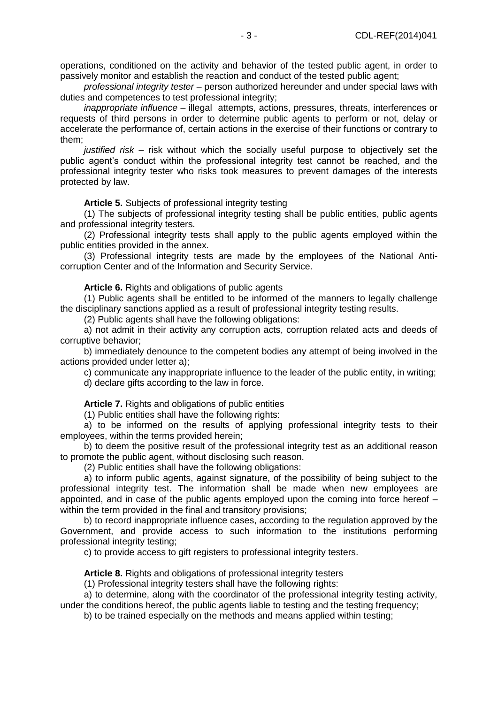operations, conditioned on the activity and behavior of the tested public agent, in order to passively monitor and establish the reaction and conduct of the tested public agent;

*professional integrity tester* – person authorized hereunder and under special laws with duties and competences to test professional integrity;

*inappropriate influence* – illegal attempts, actions, pressures, threats, interferences or requests of third persons in order to determine public agents to perform or not, delay or accelerate the performance of, certain actions in the exercise of their functions or contrary to them;

*justified risk* – risk without which the socially useful purpose to objectively set the public agent's conduct within the professional integrity test cannot be reached, and the professional integrity tester who risks took measures to prevent damages of the interests protected by law.

**Article 5.** Subjects of professional integrity testing

(1) The subjects of professional integrity testing shall be public entities, public agents and professional integrity testers.

(2) Professional integrity tests shall apply to the public agents employed within the public entities provided in the annex.

(3) Professional integrity tests are made by the employees of the National Anticorruption Center and of the Information and Security Service.

**Article 6.** Rights and obligations of public agents

(1) Public agents shall be entitled to be informed of the manners to legally challenge the disciplinary sanctions applied as a result of professional integrity testing results.

(2) Public agents shall have the following obligations:

a) not admit in their activity any corruption acts, corruption related acts and deeds of corruptive behavior;

b) immediately denounce to the competent bodies any attempt of being involved in the actions provided under letter a);

c) communicate any inappropriate influence to the leader of the public entity, in writing;

d) declare gifts according to the law in force.

Article 7. Rights and obligations of public entities

(1) Public entities shall have the following rights:

a) to be informed on the results of applying professional integrity tests to their employees, within the terms provided herein;

b) to deem the positive result of the professional integrity test as an additional reason to promote the public agent, without disclosing such reason.

(2) Public entities shall have the following obligations:

a) to inform public agents, against signature, of the possibility of being subject to the professional integrity test. The information shall be made when new employees are appointed, and in case of the public agents employed upon the coming into force hereof – within the term provided in the final and transitory provisions;

b) to record inappropriate influence cases, according to the regulation approved by the Government, and provide access to such information to the institutions performing professional integrity testing;

c) to provide access to gift registers to professional integrity testers.

**Article 8.** Rights and obligations of professional integrity testers

(1) Professional integrity testers shall have the following rights:

a) to determine, along with the coordinator of the professional integrity testing activity, under the conditions hereof, the public agents liable to testing and the testing frequency;

b) to be trained especially on the methods and means applied within testing;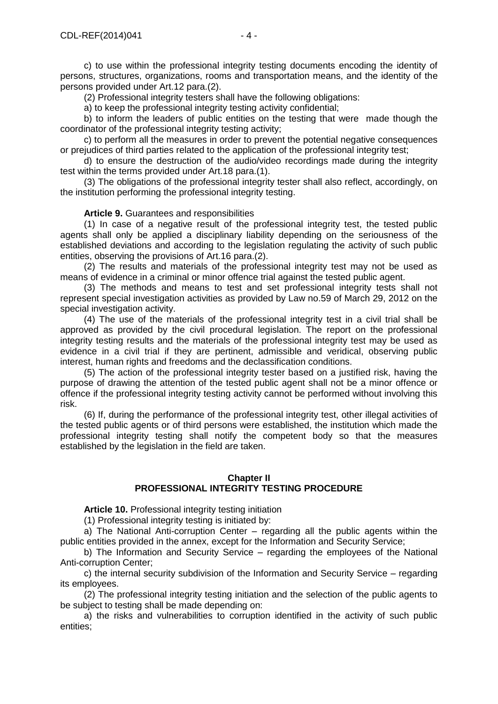c) to use within the professional integrity testing documents encoding the identity of persons, structures, organizations, rooms and transportation means, and the identity of the persons provided under Art.12 para.(2).

(2) Professional integrity testers shall have the following obligations:

a) to keep the professional integrity testing activity confidential;

b) to inform the leaders of public entities on the testing that were made though the coordinator of the professional integrity testing activity;

c) to perform all the measures in order to prevent the potential negative consequences or prejudices of third parties related to the application of the professional integrity test;

d) to ensure the destruction of the audio/video recordings made during the integrity test within the terms provided under Art.18 para.(1).

(3) The obligations of the professional integrity tester shall also reflect, accordingly, on the institution performing the professional integrity testing.

#### **Article 9.** Guarantees and responsibilities

(1) In case of a negative result of the professional integrity test, the tested public agents shall only be applied a disciplinary liability depending on the seriousness of the established deviations and according to the legislation regulating the activity of such public entities, observing the provisions of Art.16 para.(2).

(2) The results and materials of the professional integrity test may not be used as means of evidence in a criminal or minor offence trial against the tested public agent.

(3) The methods and means to test and set professional integrity tests shall not represent special investigation activities as provided by Law no.59 of March 29, 2012 on the special investigation activity.

(4) The use of the materials of the professional integrity test in a civil trial shall be approved as provided by the civil procedural legislation. The report on the professional integrity testing results and the materials of the professional integrity test may be used as evidence in a civil trial if they are pertinent, admissible and veridical, observing public interest, human rights and freedoms and the declassification conditions.

(5) The action of the professional integrity tester based on a justified risk, having the purpose of drawing the attention of the tested public agent shall not be a minor offence or offence if the professional integrity testing activity cannot be performed without involving this risk.

(6) If, during the performance of the professional integrity test, other illegal activities of the tested public agents or of third persons were established, the institution which made the professional integrity testing shall notify the competent body so that the measures established by the legislation in the field are taken.

#### **Chapter II PROFESSIONAL INTEGRITY TESTING PROCEDURE**

**Article 10.** Professional integrity testing initiation

(1) Professional integrity testing is initiated by:

a) The National Anti-corruption Center – regarding all the public agents within the public entities provided in the annex, except for the Information and Security Service;

b) The Information and Security Service – regarding the employees of the National Anti-corruption Center;

c) the internal security subdivision of the Information and Security Service – regarding its employees.

(2) The professional integrity testing initiation and the selection of the public agents to be subject to testing shall be made depending on:

a) the risks and vulnerabilities to corruption identified in the activity of such public entities;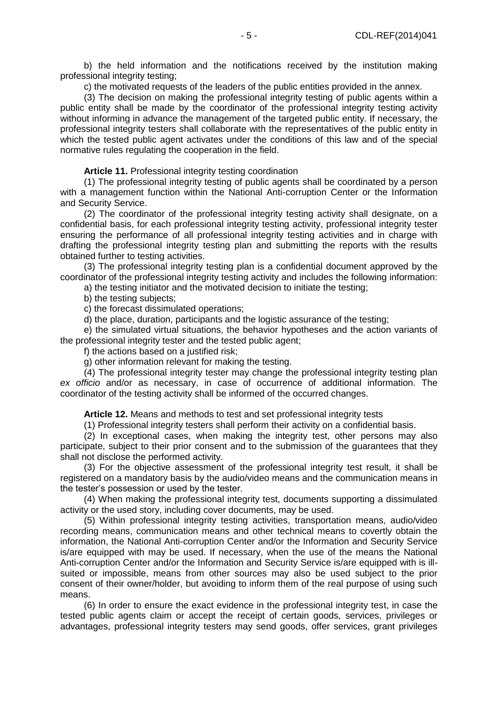b) the held information and the notifications received by the institution making professional integrity testing;

c) the motivated requests of the leaders of the public entities provided in the annex.

(3) The decision on making the professional integrity testing of public agents within a public entity shall be made by the coordinator of the professional integrity testing activity without informing in advance the management of the targeted public entity. If necessary, the professional integrity testers shall collaborate with the representatives of the public entity in which the tested public agent activates under the conditions of this law and of the special normative rules regulating the cooperation in the field.

**Article 11.** Professional integrity testing coordination

(1) The professional integrity testing of public agents shall be coordinated by a person with a management function within the National Anti-corruption Center or the Information and Security Service.

(2) The coordinator of the professional integrity testing activity shall designate, on a confidential basis, for each professional integrity testing activity, professional integrity tester ensuring the performance of all professional integrity testing activities and in charge with drafting the professional integrity testing plan and submitting the reports with the results obtained further to testing activities.

(3) The professional integrity testing plan is a confidential document approved by the coordinator of the professional integrity testing activity and includes the following information:

a) the testing initiator and the motivated decision to initiate the testing;

b) the testing subjects;

c) the forecast dissimulated operations;

d) the place, duration, participants and the logistic assurance of the testing;

e) the simulated virtual situations, the behavior hypotheses and the action variants of the professional integrity tester and the tested public agent;

f) the actions based on a justified risk;

g) other information relevant for making the testing.

(4) The professional integrity tester may change the professional integrity testing plan *ex officio* and/or as necessary, in case of occurrence of additional information. The coordinator of the testing activity shall be informed of the occurred changes.

**Article 12.** Means and methods to test and set professional integrity tests

(1) Professional integrity testers shall perform their activity on a confidential basis.

(2) In exceptional cases, when making the integrity test, other persons may also participate, subject to their prior consent and to the submission of the guarantees that they shall not disclose the performed activity.

(3) For the objective assessment of the professional integrity test result, it shall be registered on a mandatory basis by the audio/video means and the communication means in the tester's possession or used by the tester.

(4) When making the professional integrity test, documents supporting a dissimulated activity or the used story, including cover documents, may be used.

(5) Within professional integrity testing activities, transportation means, audio/video recording means, communication means and other technical means to covertly obtain the information, the National Anti-corruption Center and/or the Information and Security Service is/are equipped with may be used. If necessary, when the use of the means the National Anti-corruption Center and/or the Information and Security Service is/are equipped with is illsuited or impossible, means from other sources may also be used subject to the prior consent of their owner/holder, but avoiding to inform them of the real purpose of using such means.

(6) In order to ensure the exact evidence in the professional integrity test, in case the tested public agents claim or accept the receipt of certain goods, services, privileges or advantages, professional integrity testers may send goods, offer services, grant privileges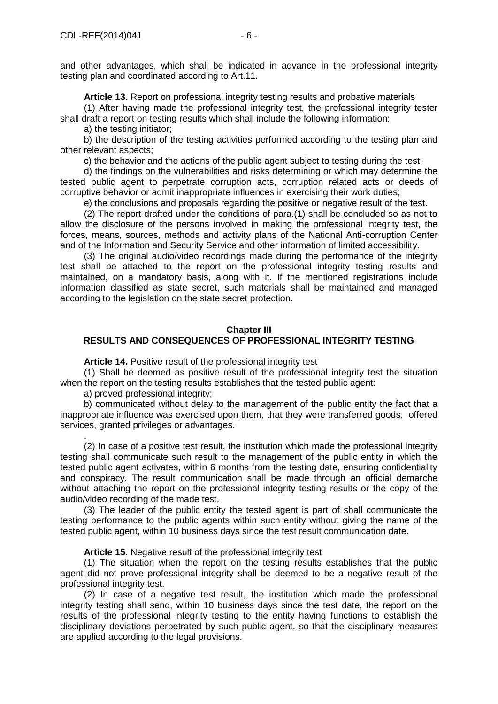and other advantages, which shall be indicated in advance in the professional integrity testing plan and coordinated according to Art.11.

**Article 13.** Report on professional integrity testing results and probative materials

(1) After having made the professional integrity test, the professional integrity tester shall draft a report on testing results which shall include the following information:

a) the testing initiator;

b) the description of the testing activities performed according to the testing plan and other relevant aspects;

c) the behavior and the actions of the public agent subject to testing during the test;

d) the findings on the vulnerabilities and risks determining or which may determine the tested public agent to perpetrate corruption acts, corruption related acts or deeds of corruptive behavior or admit inappropriate influences in exercising their work duties;

e) the conclusions and proposals regarding the positive or negative result of the test.

(2) The report drafted under the conditions of para.(1) shall be concluded so as not to allow the disclosure of the persons involved in making the professional integrity test, the forces, means, sources, methods and activity plans of the National Anti-corruption Center and of the Information and Security Service and other information of limited accessibility.

(3) The original audio/video recordings made during the performance of the integrity test shall be attached to the report on the professional integrity testing results and maintained, on a mandatory basis, along with it. If the mentioned registrations include information classified as state secret, such materials shall be maintained and managed according to the legislation on the state secret protection.

#### **Chapter III**

# **RESULTS AND CONSEQUENCES OF PROFESSIONAL INTEGRITY TESTING**

**Article 14.** Positive result of the professional integrity test

(1) Shall be deemed as positive result of the professional integrity test the situation when the report on the testing results establishes that the tested public agent:

a) proved professional integrity;

.

b) communicated without delay to the management of the public entity the fact that a inappropriate influence was exercised upon them, that they were transferred goods, offered services, granted privileges or advantages.

(2) In case of a positive test result, the institution which made the professional integrity testing shall communicate such result to the management of the public entity in which the tested public agent activates, within 6 months from the testing date, ensuring confidentiality and conspiracy. The result communication shall be made through an official demarche without attaching the report on the professional integrity testing results or the copy of the audio/video recording of the made test.

(3) The leader of the public entity the tested agent is part of shall communicate the testing performance to the public agents within such entity without giving the name of the tested public agent, within 10 business days since the test result communication date.

#### **Article 15.** Negative result of the professional integrity test

(1) The situation when the report on the testing results establishes that the public agent did not prove professional integrity shall be deemed to be a negative result of the professional integrity test.

(2) In case of a negative test result, the institution which made the professional integrity testing shall send, within 10 business days since the test date, the report on the results of the professional integrity testing to the entity having functions to establish the disciplinary deviations perpetrated by such public agent, so that the disciplinary measures are applied according to the legal provisions.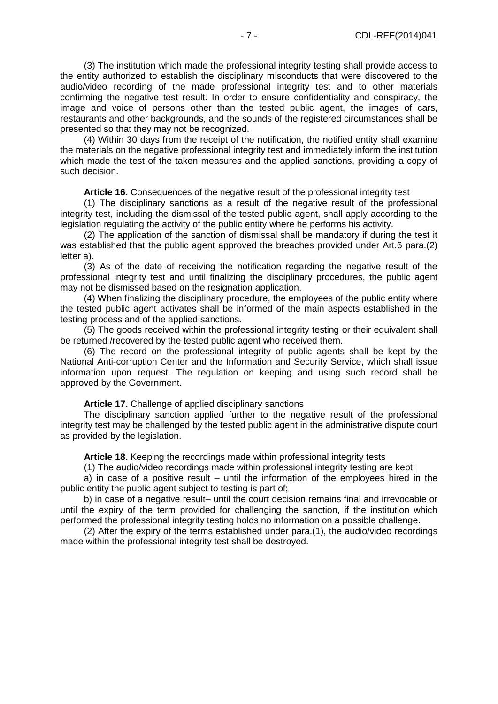(3) The institution which made the professional integrity testing shall provide access to the entity authorized to establish the disciplinary misconducts that were discovered to the audio/video recording of the made professional integrity test and to other materials confirming the negative test result. In order to ensure confidentiality and conspiracy, the image and voice of persons other than the tested public agent, the images of cars, restaurants and other backgrounds, and the sounds of the registered circumstances shall be presented so that they may not be recognized.

(4) Within 30 days from the receipt of the notification, the notified entity shall examine the materials on the negative professional integrity test and immediately inform the institution which made the test of the taken measures and the applied sanctions, providing a copy of such decision.

**Article 16.** Consequences of the negative result of the professional integrity test

(1) The disciplinary sanctions as a result of the negative result of the professional integrity test, including the dismissal of the tested public agent, shall apply according to the legislation regulating the activity of the public entity where he performs his activity.

(2) The application of the sanction of dismissal shall be mandatory if during the test it was established that the public agent approved the breaches provided under Art.6 para.(2) letter a).

(3) As of the date of receiving the notification regarding the negative result of the professional integrity test and until finalizing the disciplinary procedures, the public agent may not be dismissed based on the resignation application.

(4) When finalizing the disciplinary procedure, the employees of the public entity where the tested public agent activates shall be informed of the main aspects established in the testing process and of the applied sanctions.

(5) The goods received within the professional integrity testing or their equivalent shall be returned /recovered by the tested public agent who received them.

(6) The record on the professional integrity of public agents shall be kept by the National Anti-corruption Center and the Information and Security Service, which shall issue information upon request. The regulation on keeping and using such record shall be approved by the Government.

**Article 17.** Challenge of applied disciplinary sanctions

The disciplinary sanction applied further to the negative result of the professional integrity test may be challenged by the tested public agent in the administrative dispute court as provided by the legislation.

**Article 18.** Keeping the recordings made within professional integrity tests

(1) The audio/video recordings made within professional integrity testing are kept:

a) in case of a positive result – until the information of the employees hired in the public entity the public agent subject to testing is part of;

b) in case of a negative result– until the court decision remains final and irrevocable or until the expiry of the term provided for challenging the sanction, if the institution which performed the professional integrity testing holds no information on a possible challenge.

(2) After the expiry of the terms established under para.(1), the audio/video recordings made within the professional integrity test shall be destroyed.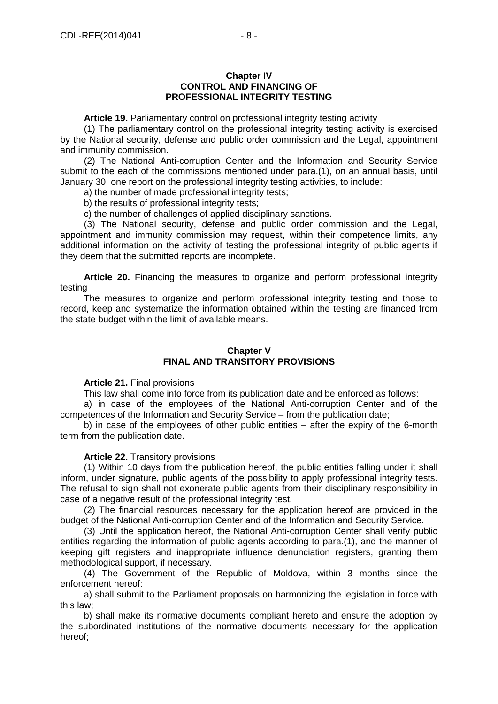#### **Chapter IV CONTROL AND FINANCING OF PROFESSIONAL INTEGRITY TESTING**

**Article 19.** Parliamentary control on professional integrity testing activity

(1) The parliamentary control on the professional integrity testing activity is exercised by the National security, defense and public order commission and the Legal, appointment and immunity commission.

(2) The National Anti-corruption Center and the Information and Security Service submit to the each of the commissions mentioned under para.(1), on an annual basis, until January 30, one report on the professional integrity testing activities, to include:

a) the number of made professional integrity tests;

b) the results of professional integrity tests;

c) the number of challenges of applied disciplinary sanctions.

(3) The National security, defense and public order commission and the Legal, appointment and immunity commission may request, within their competence limits, any additional information on the activity of testing the professional integrity of public agents if they deem that the submitted reports are incomplete.

**Article 20.** Financing the measures to organize and perform professional integrity testing

The measures to organize and perform professional integrity testing and those to record, keep and systematize the information obtained within the testing are financed from the state budget within the limit of available means.

# **Chapter V FINAL AND TRANSITORY PROVISIONS**

#### **Article 21.** Final provisions

This law shall come into force from its publication date and be enforced as follows:

a) in case of the employees of the National Anti-corruption Center and of the competences of the Information and Security Service – from the publication date;

b) in case of the employees of other public entities – after the expiry of the 6-month term from the publication date.

#### **Article 22.** Transitory provisions

(1) Within 10 days from the publication hereof, the public entities falling under it shall inform, under signature, public agents of the possibility to apply professional integrity tests. The refusal to sign shall not exonerate public agents from their disciplinary responsibility in case of a negative result of the professional integrity test.

(2) The financial resources necessary for the application hereof are provided in the budget of the National Anti-corruption Center and of the Information and Security Service.

(3) Until the application hereof, the National Anti-corruption Center shall verify public entities regarding the information of public agents according to para.(1), and the manner of keeping gift registers and inappropriate influence denunciation registers, granting them methodological support, if necessary.

(4) The Government of the Republic of Moldova, within 3 months since the enforcement hereof:

a) shall submit to the Parliament proposals on harmonizing the legislation in force with this law;

b) shall make its normative documents compliant hereto and ensure the adoption by the subordinated institutions of the normative documents necessary for the application hereof;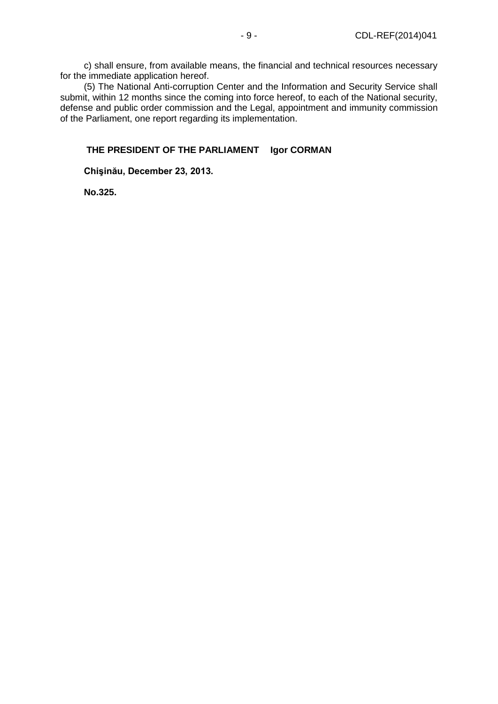c) shall ensure, from available means, the financial and technical resources necessary for the immediate application hereof.

(5) The National Anti-corruption Center and the Information and Security Service shall submit, within 12 months since the coming into force hereof, to each of the National security, defense and public order commission and the Legal, appointment and immunity commission of the Parliament, one report regarding its implementation.

# **THE PRESIDENT OF THE PARLIAMENT Igor CORMAN**

# **Chişinău, December 23, 2013.**

**No.325.**